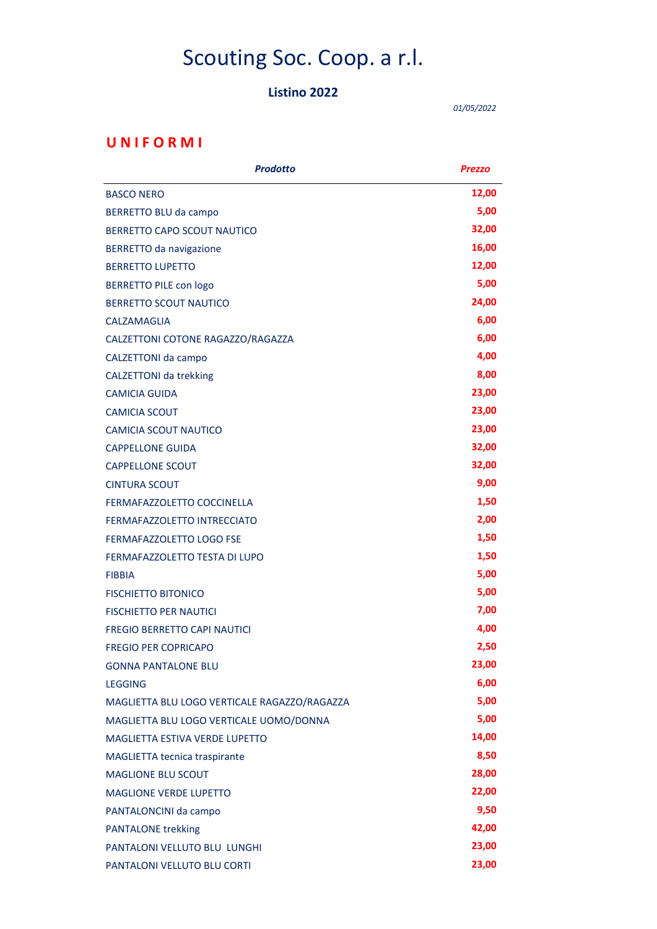# Scouting Soc. Coop. a r.l.

#### Listino 2022

01/05/2022

### U N I F O R M I

| <b>Prodotto</b>                              | <b>Prezzo</b> |
|----------------------------------------------|---------------|
| <b>BASCO NERO</b>                            | 12,00         |
| BERRETTO BLU da campo                        | 5,00          |
| BERRETTO CAPO SCOUT NAUTICO                  | 32,00         |
| <b>BERRETTO da navigazione</b>               | 16,00         |
| <b>BERRETTO LUPETTO</b>                      | 12,00         |
| <b>BERRETTO PILE con logo</b>                | 5,00          |
| <b>BERRETTO SCOUT NAUTICO</b>                | 24,00         |
| CALZAMAGLIA                                  | 6,00          |
| CALZETTONI COTONE RAGAZZO/RAGAZZA            | 6,00          |
| CALZETTONI da campo                          | 4,00          |
| <b>CALZETTONI da trekking</b>                | 8,00          |
| <b>CAMICIA GUIDA</b>                         | 23,00         |
| <b>CAMICIA SCOUT</b>                         | 23,00         |
| <b>CAMICIA SCOUT NAUTICO</b>                 | 23,00         |
| <b>CAPPELLONE GUIDA</b>                      | 32,00         |
| <b>CAPPELLONE SCOUT</b>                      | 32,00         |
| <b>CINTURA SCOUT</b>                         | 9,00          |
| FERMAFAZZOLETTO COCCINELLA                   | 1,50          |
| FERMAFAZZOLETTO INTRECCIATO                  | 2,00          |
| FERMAFAZZOLETTO LOGO FSE                     | 1,50          |
| FERMAFAZZOLETTO TESTA DI LUPO                | 1,50          |
| <b>FIBBIA</b>                                | 5,00          |
| <b>FISCHIETTO BITONICO</b>                   | 5,00          |
| <b>FISCHIETTO PER NAUTICI</b>                | 7,00          |
| <b>FREGIO BERRETTO CAPI NAUTICI</b>          | 4,00          |
| <b>FREGIO PER COPRICAPO</b>                  | 2,50          |
| <b>GONNA PANTALONE BLU</b>                   | 23,00         |
| <b>LEGGING</b>                               | 6,00          |
| MAGLIETTA BLU LOGO VERTICALE RAGAZZO/RAGAZZA | 5,00          |
| MAGLIETTA BLU LOGO VERTICALE UOMO/DONNA      | 5,00          |
| <b>MAGLIETTA ESTIVA VERDE LUPETTO</b>        | 14,00         |
| MAGLIETTA tecnica traspirante                | 8,50          |
| <b>MAGLIONE BLU SCOUT</b>                    | 28,00         |
| <b>MAGLIONE VERDE LUPETTO</b>                | 22,00         |
| PANTALONCINI da campo                        | 9,50          |
| <b>PANTALONE trekking</b>                    | 42,00         |
| PANTALONI VELLUTO BLU LUNGHI                 | 23,00         |
| PANTALONI VELLUTO BLU CORTI                  | 23,00         |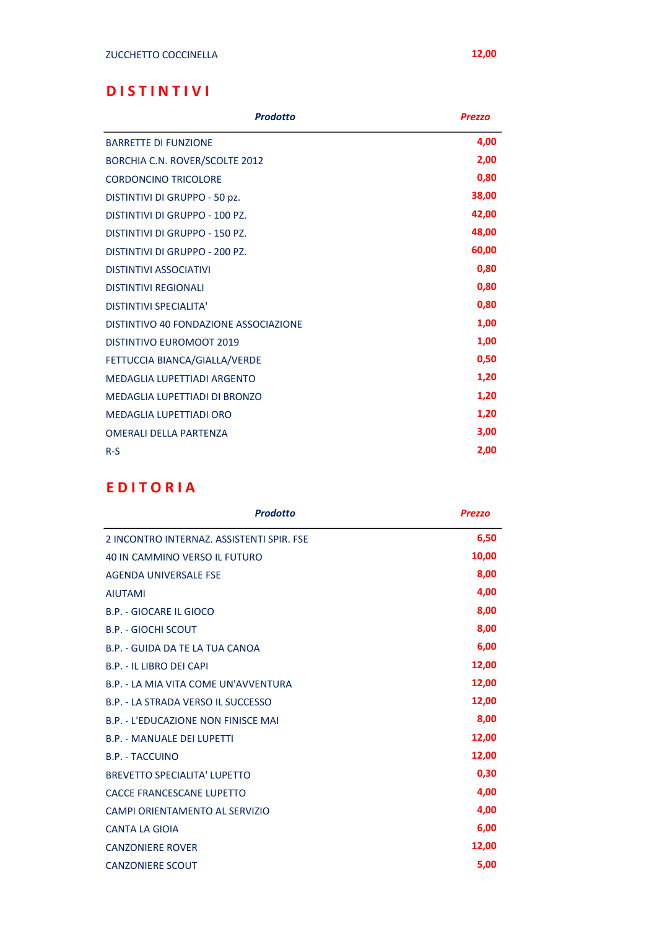## D I S T I N T I V I

| <b>Prodotto</b>                       | <b>Prezzo</b> |
|---------------------------------------|---------------|
| <b>BARRETTE DI FUNZIONE</b>           | 4,00          |
| BORCHIA C.N. ROVER/SCOLTE 2012        | 2,00          |
| <b>CORDONCINO TRICOLORE</b>           | 0,80          |
| DISTINTIVI DI GRUPPO - 50 pz.         | 38,00         |
| DISTINTIVI DI GRUPPO - 100 PZ.        | 42,00         |
| DISTINTIVI DI GRUPPO - 150 PZ.        | 48,00         |
| DISTINTIVI DI GRUPPO - 200 PZ.        | 60,00         |
| <b>DISTINTIVI ASSOCIATIVI</b>         | 0,80          |
| <b>DISTINTIVI REGIONALI</b>           | 0,80          |
| <b>DISTINTIVI SPECIALITA'</b>         | 0,80          |
| DISTINTIVO 40 FONDAZIONE ASSOCIAZIONE | 1,00          |
| <b>DISTINTIVO EUROMOOT 2019</b>       | 1,00          |
| FETTUCCIA BIANCA/GIALLA/VERDE         | 0,50          |
| MEDAGLIA LUPETTIADI ARGENTO           | 1,20          |
| <b>MEDAGLIA LUPETTIADI DI BRONZO</b>  | 1,20          |
| <b>MEDAGLIA LUPETTIADI ORO</b>        | 1,20          |
| <b>OMERALI DELLA PARTENZA</b>         | 3,00          |
| $R-S$                                 | 2,00          |

## E D I T O R I A

| <b>Prodotto</b>                           | <b>Prezzo</b> |
|-------------------------------------------|---------------|
| 2 INCONTRO INTERNAZ, ASSISTENTI SPIR, FSE | 6,50          |
| <b>40 IN CAMMINO VERSO IL FUTURO</b>      | 10,00         |
| AGENDA UNIVERSALE FSE                     | 8,00          |
| <b>AIUTAMI</b>                            | 4,00          |
| <b>B.P. - GIOCARE IL GIOCO</b>            | 8,00          |
| <b>B.P. - GIOCHI SCOUT</b>                | 8,00          |
| B.P. - GUIDA DA TE LA TUA CANOA           | 6,00          |
| B.P. - IL LIBRO DEI CAPI                  | 12,00         |
| B.P. - I A MIA VITA COME UN'AVVENTURA     | 12,00         |
| B.P. - LA STRADA VERSO IL SUCCESSO        | 12,00         |
| B.P. - L'EDUCAZIONE NON FINISCE MAI       | 8,00          |
| <b>B.P. - MANUALE DEI LUPETTI</b>         | 12,00         |
| <b>B.P. - TACCUINO</b>                    | 12,00         |
| <b>BREVETTO SPECIALITA' LUPETTO</b>       | 0,30          |
| CACCE FRANCESCANE LUPETTO                 | 4,00          |
| CAMPI ORIENTAMENTO AL SERVIZIO            | 4,00          |
| <b>CANTA LA GIOIA</b>                     | 6,00          |
| <b>CANZONIERE ROVER</b>                   | 12,00         |
| <b>CANZONIERE SCOUT</b>                   | 5,00          |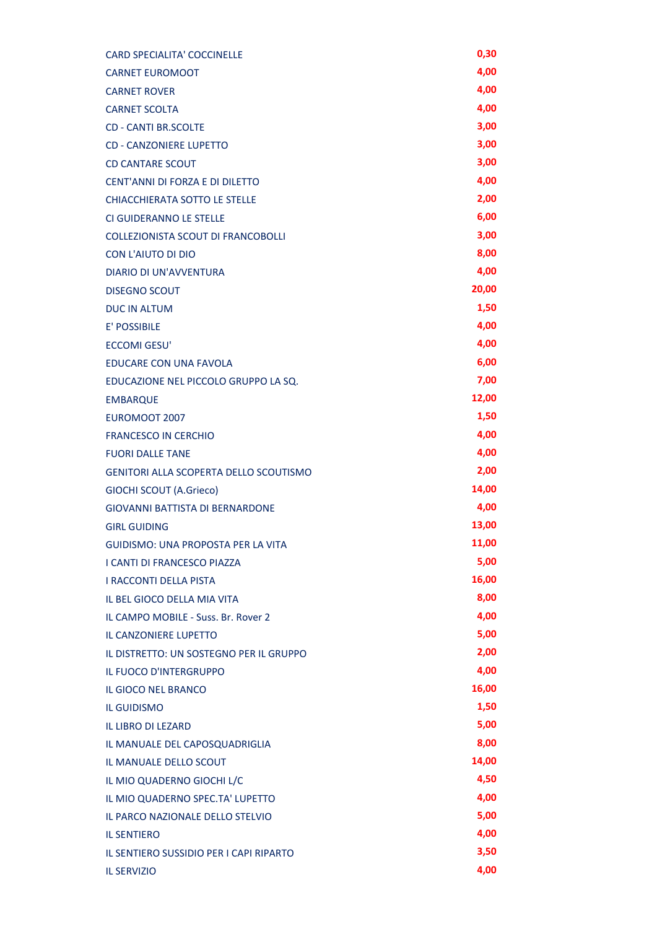| <b>CARD SPECIALITA' COCCINELLE</b>            | 0,30  |
|-----------------------------------------------|-------|
| <b>CARNET EUROMOOT</b>                        | 4,00  |
| <b>CARNET ROVER</b>                           | 4,00  |
| <b>CARNET SCOLTA</b>                          | 4,00  |
| <b>CD - CANTI BR.SCOLTE</b>                   | 3,00  |
| <b>CD - CANZONIERE LUPETTO</b>                | 3,00  |
| <b>CD CANTARE SCOUT</b>                       | 3,00  |
| CENT'ANNI DI FORZA E DI DILETTO               | 4,00  |
| CHIACCHIERATA SOTTO LE STELLE                 | 2,00  |
| CI GUIDERANNO LE STELLE                       | 6,00  |
| <b>COLLEZIONISTA SCOUT DI FRANCOBOLLI</b>     | 3,00  |
| <b>CON L'AIUTO DI DIO</b>                     | 8,00  |
| <b>DIARIO DI UN'AVVENTURA</b>                 | 4,00  |
| <b>DISEGNO SCOUT</b>                          | 20,00 |
| <b>DUC IN ALTUM</b>                           | 1,50  |
| <b>E' POSSIBILE</b>                           | 4,00  |
| ECCOMI GESU'                                  | 4,00  |
| <b>EDUCARE CON UNA FAVOLA</b>                 | 6,00  |
| EDUCAZIONE NEL PICCOLO GRUPPO LA SQ.          | 7,00  |
| <b>EMBARQUE</b>                               | 12,00 |
| EUROMOOT 2007                                 | 1,50  |
| <b>FRANCESCO IN CERCHIO</b>                   | 4,00  |
| <b>FUORI DALLE TANE</b>                       | 4,00  |
| <b>GENITORI ALLA SCOPERTA DELLO SCOUTISMO</b> | 2,00  |
| <b>GIOCHI SCOUT (A.Grieco)</b>                | 14,00 |
| <b>GIOVANNI BATTISTA DI BERNARDONE</b>        | 4,00  |
| <b>GIRL GUIDING</b>                           | 13,00 |
| <b>GUIDISMO: UNA PROPOSTA PER LA VITA</b>     | 11,00 |
| <b>I CANTI DI FRANCESCO PIAZZA</b>            | 5,00  |
| <b>I RACCONTI DELLA PISTA</b>                 | 16,00 |
| IL BEL GIOCO DELLA MIA VITA                   | 8,00  |
| IL CAMPO MOBILE - Suss. Br. Rover 2           | 4,00  |
| <b>IL CANZONIERE LUPETTO</b>                  | 5,00  |
| IL DISTRETTO: UN SOSTEGNO PER IL GRUPPO       | 2,00  |
| <b>IL FUOCO D'INTERGRUPPO</b>                 | 4,00  |
| <b>IL GIOCO NEL BRANCO</b>                    | 16,00 |
| <b>IL GUIDISMO</b>                            | 1,50  |
| <b>IL LIBRO DI LEZARD</b>                     | 5,00  |
| IL MANUALE DEL CAPOSQUADRIGLIA                | 8,00  |
| IL MANUALE DELLO SCOUT                        | 14,00 |
| IL MIO QUADERNO GIOCHI L/C                    | 4,50  |
| IL MIO QUADERNO SPEC.TA' LUPETTO              | 4,00  |
| IL PARCO NAZIONALE DELLO STELVIO              | 5,00  |
| <b>IL SENTIERO</b>                            | 4,00  |
| IL SENTIERO SUSSIDIO PER I CAPI RIPARTO       | 3,50  |
| <b>IL SERVIZIO</b>                            | 4,00  |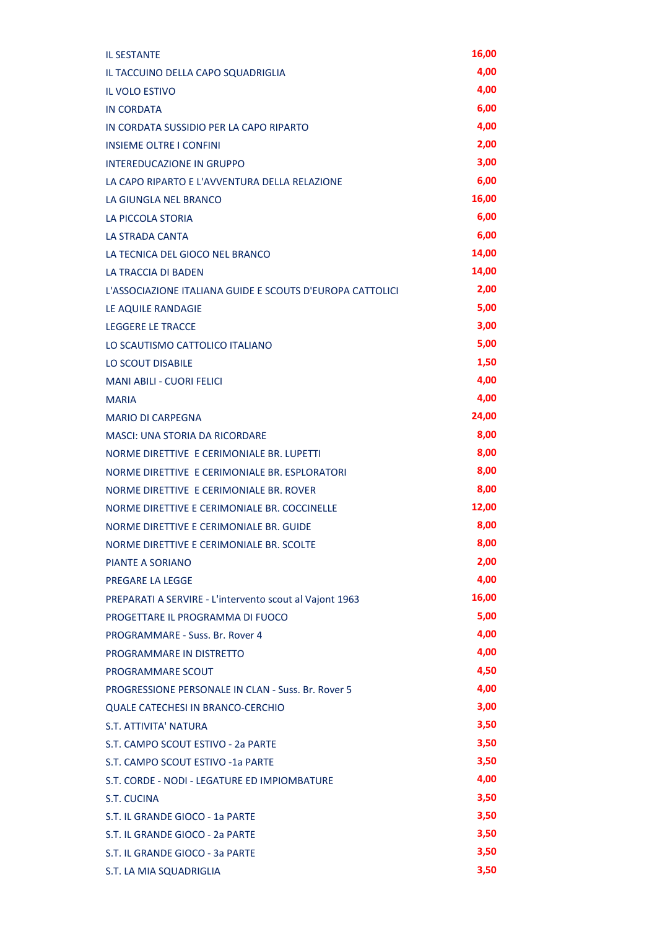| <b>IL SESTANTE</b>                                        | 16,00 |
|-----------------------------------------------------------|-------|
| IL TACCUINO DELLA CAPO SQUADRIGLIA                        | 4,00  |
| <b>IL VOLO ESTIVO</b>                                     | 4,00  |
| <b>IN CORDATA</b>                                         | 6,00  |
| IN CORDATA SUSSIDIO PER LA CAPO RIPARTO                   | 4,00  |
| <b>INSIEME OLTRE I CONFINI</b>                            | 2,00  |
| <b>INTEREDUCAZIONE IN GRUPPO</b>                          | 3,00  |
| LA CAPO RIPARTO E L'AVVENTURA DELLA RELAZIONE             | 6,00  |
| LA GIUNGLA NEL BRANCO                                     | 16,00 |
| <b>LA PICCOLA STORIA</b>                                  | 6,00  |
| LA STRADA CANTA                                           | 6,00  |
| LA TECNICA DEL GIOCO NEL BRANCO                           | 14,00 |
| LA TRACCIA DI BADEN                                       | 14,00 |
| L'ASSOCIAZIONE ITALIANA GUIDE E SCOUTS D'EUROPA CATTOLICI | 2,00  |
| LE AQUILE RANDAGIE                                        | 5,00  |
| <b>LEGGERE LE TRACCE</b>                                  | 3,00  |
| LO SCAUTISMO CATTOLICO ITALIANO                           | 5,00  |
| <b>LO SCOUT DISABILE</b>                                  | 1,50  |
| <b>MANI ABILI - CUORI FELICI</b>                          | 4,00  |
| <b>MARIA</b>                                              | 4,00  |
| <b>MARIO DI CARPEGNA</b>                                  | 24,00 |
| <b>MASCI: UNA STORIA DA RICORDARE</b>                     | 8,00  |
| NORME DIRETTIVE E CERIMONIALE BR. LUPETTI                 | 8,00  |
| NORME DIRETTIVE E CERIMONIALE BR. ESPLORATORI             | 8,00  |
| NORME DIRETTIVE E CERIMONIALE BR. ROVER                   | 8,00  |
| NORME DIRETTIVE E CERIMONIALE BR. COCCINELLE              | 12,00 |
| NORME DIRETTIVE E CERIMONIALE BR. GUIDE                   | 8,00  |
| NORME DIRETTIVE E CERIMONIALE BR. SCOLTE                  | 8,00  |
| PIANTE A SORIANO                                          | 2,00  |
| PREGARE LA LEGGE                                          | 4,00  |
| PREPARATI A SERVIRE - L'intervento scout al Vajont 1963   | 16,00 |
| PROGETTARE IL PROGRAMMA DI FUOCO                          | 5,00  |
| PROGRAMMARE - Suss. Br. Rover 4                           | 4,00  |
| PROGRAMMARE IN DISTRETTO                                  | 4,00  |
| PROGRAMMARE SCOUT                                         | 4,50  |
| <b>PROGRESSIONE PERSONALE IN CLAN - Suss. Br. Rover 5</b> | 4,00  |
| <b>QUALE CATECHESI IN BRANCO-CERCHIO</b>                  | 3,00  |
| <b>S.T. ATTIVITA' NATURA</b>                              | 3,50  |
| S.T. CAMPO SCOUT ESTIVO - 2a PARTE                        | 3,50  |
| S.T. CAMPO SCOUT ESTIVO -1a PARTE                         | 3,50  |
| S.T. CORDE - NODI - LEGATURE ED IMPIOMBATURE              | 4,00  |
| <b>S.T. CUCINA</b>                                        | 3,50  |
| S.T. IL GRANDE GIOCO - 1a PARTE                           | 3,50  |
| S.T. IL GRANDE GIOCO - 2a PARTE                           | 3,50  |
| S.T. IL GRANDE GIOCO - 3a PARTE                           | 3,50  |
| S.T. LA MIA SQUADRIGLIA                                   | 3,50  |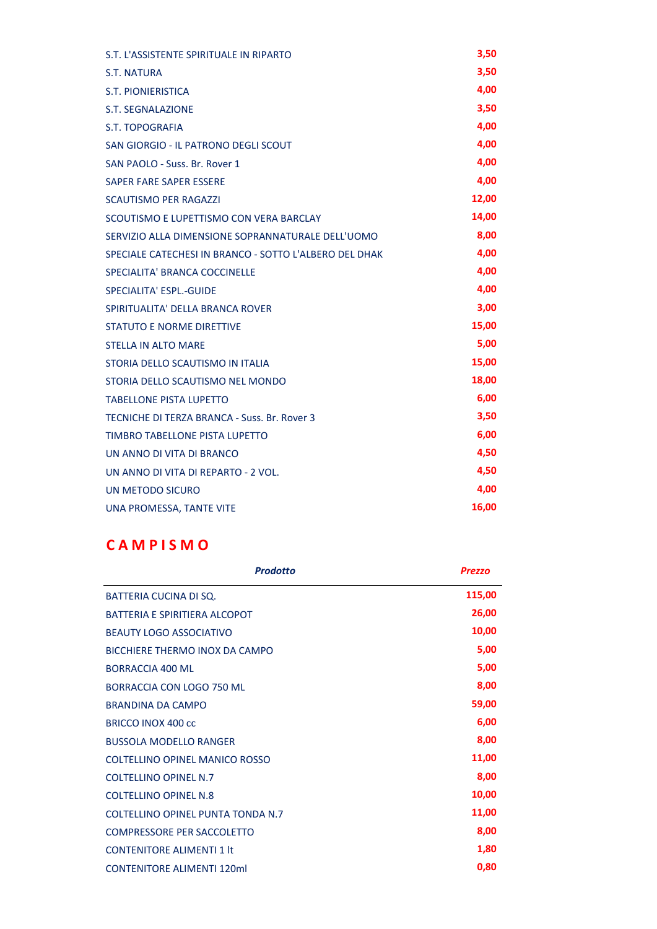| S.T. L'ASSISTENTE SPIRITUALE IN RIPARTO                | 3,50  |
|--------------------------------------------------------|-------|
| S.T. NATURA                                            | 3,50  |
| <b>S.T. PIONIERISTICA</b>                              | 4,00  |
| <b>S.T. SEGNALAZIONE</b>                               | 3,50  |
| <b>S.T. TOPOGRAFIA</b>                                 | 4,00  |
| SAN GIORGIO - IL PATRONO DEGLI SCOUT                   | 4,00  |
| SAN PAOLO - Suss. Br. Rover 1                          | 4,00  |
| SAPER FARE SAPER ESSERE                                | 4,00  |
| <b>SCAUTISMO PER RAGAZZI</b>                           | 12,00 |
| SCOUTISMO E LUPETTISMO CON VERA BARCLAY                | 14,00 |
| SERVIZIO ALLA DIMENSIONE SOPRANNATURALE DELL'UOMO      | 8,00  |
| SPECIALE CATECHESI IN BRANCO - SOTTO L'ALBERO DEL DHAK | 4,00  |
| SPECIALITA' BRANCA COCCINELLE                          | 4,00  |
| SPECIALITA' ESPL.-GUIDE                                | 4,00  |
| SPIRITUALITA' DELLA BRANCA ROVER                       | 3,00  |
| <b>STATUTO E NORME DIRETTIVE</b>                       | 15,00 |
| <b>STELLA IN ALTO MARE</b>                             | 5,00  |
| STORIA DELLO SCAUTISMO IN ITALIA                       | 15,00 |
| STORIA DELLO SCAUTISMO NEL MONDO                       | 18,00 |
| <b>TABELLONE PISTA LUPETTO</b>                         | 6,00  |
| TECNICHE DI TERZA BRANCA - Suss. Br. Rover 3           | 3,50  |
| TIMBRO TABELLONE PISTA LUPETTO                         | 6,00  |
| UN ANNO DI VITA DI BRANCO                              | 4,50  |
| UN ANNO DI VITA DI REPARTO - 2 VOL.                    | 4,50  |
| UN METODO SICURO                                       | 4,00  |
| UNA PROMESSA, TANTE VITE                               | 16,00 |

# C A M P I S M O

| <b>Prodotto</b>                       | <b>Prezzo</b> |
|---------------------------------------|---------------|
| <b>BATTERIA CUCINA DI SQ.</b>         | 115,00        |
| <b>BATTERIA E SPIRITIERA ALCOPOT</b>  | 26,00         |
| <b>BEAUTY LOGO ASSOCIATIVO</b>        | 10,00         |
| <b>BICCHIERE THERMO INOX DA CAMPO</b> | 5,00          |
| <b>BORRACCIA 400 ML</b>               | 5,00          |
| BORRACCIA CON LOGO 750 ML             | 8,00          |
| <b>BRANDINA DA CAMPO</b>              | 59,00         |
| BRICCO INOX 400 cc                    | 6,00          |
| <b>BUSSOLA MODELLO RANGER</b>         | 8,00          |
| COLTELLINO OPINEL MANICO ROSSO        | 11,00         |
| <b>COLTELLINO OPINEL N.7</b>          | 8,00          |
| <b>COLTELLINO OPINEL N.8</b>          | 10,00         |
| COLTELLINO OPINEL PUNTA TONDA N.7     | 11,00         |
| <b>COMPRESSORE PER SACCOLETTO</b>     | 8,00          |
| <b>CONTENITORE ALIMENTI 1 It</b>      | 1,80          |
| <b>CONTENITORE ALIMENTI 120ml</b>     | 0,80          |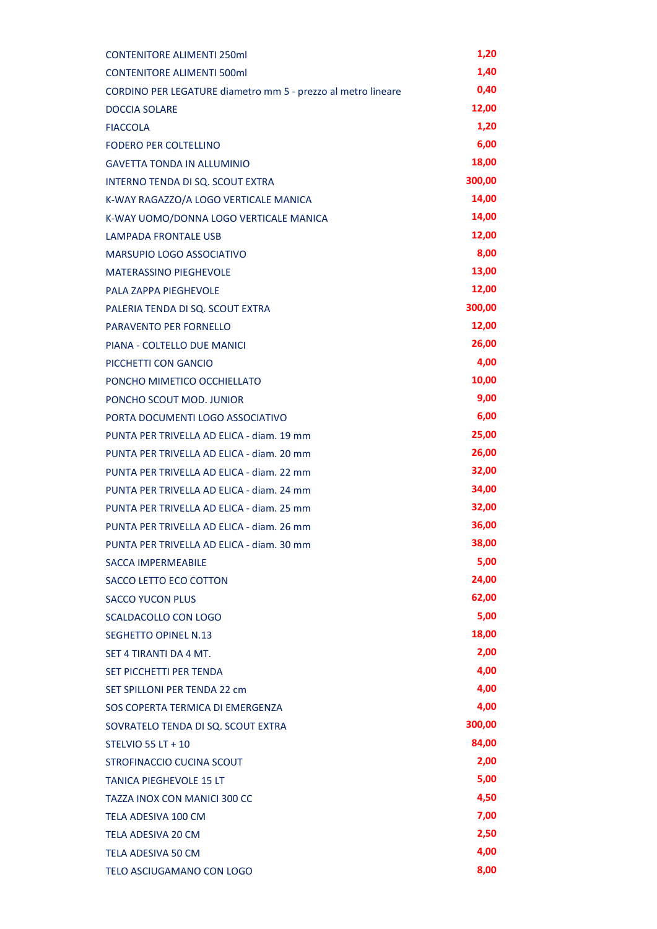| <b>CONTENITORE ALIMENTI 250ml</b>                            | 1,20   |
|--------------------------------------------------------------|--------|
| <b>CONTENITORE ALIMENTI 500ml</b>                            | 1,40   |
| CORDINO PER LEGATURE diametro mm 5 - prezzo al metro lineare | 0,40   |
| <b>DOCCIA SOLARE</b>                                         | 12,00  |
| <b>FIACCOLA</b>                                              | 1,20   |
| <b>FODERO PER COLTELLINO</b>                                 | 6,00   |
| <b>GAVETTA TONDA IN ALLUMINIO</b>                            | 18,00  |
| INTERNO TENDA DI SQ. SCOUT EXTRA                             | 300,00 |
| K-WAY RAGAZZO/A LOGO VERTICALE MANICA                        | 14,00  |
| K-WAY UOMO/DONNA LOGO VERTICALE MANICA                       | 14,00  |
| <b>LAMPADA FRONTALE USB</b>                                  | 12,00  |
| MARSUPIO LOGO ASSOCIATIVO                                    | 8,00   |
| <b>MATERASSINO PIEGHEVOLE</b>                                | 13,00  |
| PALA ZAPPA PIEGHEVOLE                                        | 12,00  |
| PALERIA TENDA DI SQ. SCOUT EXTRA                             | 300,00 |
| PARAVENTO PER FORNELLO                                       | 12,00  |
| PIANA - COLTELLO DUE MANICI                                  | 26,00  |
| PICCHETTI CON GANCIO                                         | 4,00   |
| PONCHO MIMETICO OCCHIELLATO                                  | 10,00  |
| PONCHO SCOUT MOD. JUNIOR                                     | 9,00   |
| PORTA DOCUMENTI LOGO ASSOCIATIVO                             | 6,00   |
| PUNTA PER TRIVELLA AD ELICA - diam. 19 mm                    | 25,00  |
| PUNTA PER TRIVELLA AD ELICA - diam. 20 mm                    | 26,00  |
| PUNTA PER TRIVELLA AD ELICA - diam. 22 mm                    | 32,00  |
| PUNTA PER TRIVELLA AD ELICA - diam. 24 mm                    | 34,00  |
| PUNTA PER TRIVELLA AD ELICA - diam. 25 mm                    | 32,00  |
| PUNTA PER TRIVELLA AD ELICA - diam. 26 mm                    | 36,00  |
| PUNTA PER TRIVELLA AD ELICA - diam. 30 mm                    | 38,00  |
| <b>SACCA IMPERMEABILE</b>                                    | 5,00   |
| SACCO LETTO ECO COTTON                                       | 24,00  |
| <b>SACCO YUCON PLUS</b>                                      | 62,00  |
| SCALDACOLLO CON LOGO                                         | 5,00   |
| <b>SEGHETTO OPINEL N.13</b>                                  | 18,00  |
| SFT 4 TIRANTI DA 4 MT.                                       | 2,00   |
| <b>SET PICCHETTI PER TENDA</b>                               | 4,00   |
| SET SPILLONI PER TENDA 22 cm                                 | 4,00   |
| SOS COPERTA TERMICA DI EMERGENZA                             | 4,00   |
| SOVRATELO TENDA DI SQ. SCOUT EXTRA                           | 300,00 |
| <b>STELVIO 55 LT + 10</b>                                    | 84,00  |
| STROFINACCIO CUCINA SCOUT                                    | 2,00   |
| <b>TANICA PIEGHEVOLE 15 LT</b>                               | 5,00   |
| TAZZA INOX CON MANICI 300 CC                                 | 4,50   |
| TELA ADESIVA 100 CM                                          | 7,00   |
| <b>TELA ADESIVA 20 CM</b>                                    | 2,50   |
| <b>TELA ADESIVA 50 CM</b>                                    | 4,00   |
| TELO ASCIUGAMANO CON LOGO                                    | 8,00   |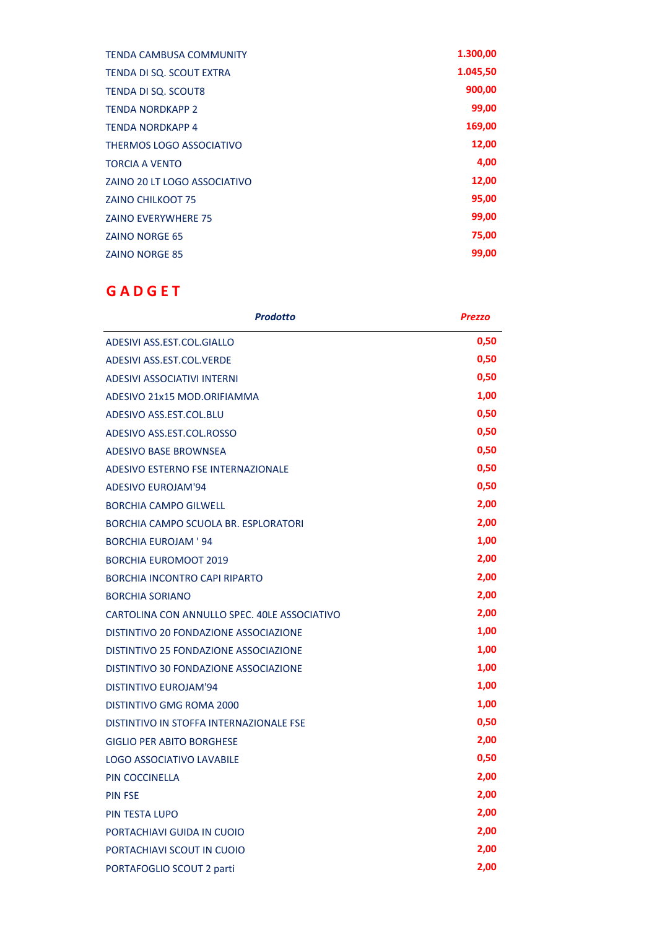| <b>TENDA CAMBUSA COMMUNITY</b> | 1.300,00 |
|--------------------------------|----------|
| TENDA DI SQ. SCOUT EXTRA       | 1.045,50 |
| <b>TENDA DI SQ. SCOUT8</b>     | 900,00   |
| <b>TENDA NORDKAPP 2</b>        | 99,00    |
| <b>TENDA NORDKAPP 4</b>        | 169,00   |
| THERMOS LOGO ASSOCIATIVO       | 12,00    |
| <b>TORCIA A VENTO</b>          | 4,00     |
| ZAINO 20 LT LOGO ASSOCIATIVO   | 12,00    |
| <b>ZAINO CHILKOOT 75</b>       | 95,00    |
| <b>ZAINO EVERYWHERE 75</b>     | 99,00    |
| <b>ZAINO NORGE 65</b>          | 75,00    |
| <b>ZAINO NORGE 85</b>          | 99,00    |

# **GADGET**

| <b>Prodotto</b>                              | <b>Prezzo</b> |
|----------------------------------------------|---------------|
| ADESIVI ASS.EST.COL.GIALLO                   | 0,50          |
| ADESIVI ASS.EST.COL.VERDE                    | 0,50          |
| <b>ADESIVI ASSOCIATIVI INTERNI</b>           | 0,50          |
| ADESIVO 21x15 MOD.ORIFIAMMA                  | 1,00          |
| ADESIVO ASS.EST.COL.BLU                      | 0,50          |
| ADESIVO ASS.EST.COL.ROSSO                    | 0,50          |
| <b>ADESIVO BASE BROWNSEA</b>                 | 0,50          |
| ADESIVO ESTERNO FSE INTERNAZIONALE           | 0,50          |
| <b>ADESIVO EUROJAM'94</b>                    | 0,50          |
| <b>BORCHIA CAMPO GILWELL</b>                 | 2,00          |
| BORCHIA CAMPO SCUOLA BR. ESPLORATORI         | 2,00          |
| <b>BORCHIA EUROJAM ' 94</b>                  | 1,00          |
| <b>BORCHIA EUROMOOT 2019</b>                 | 2,00          |
| <b>BORCHIA INCONTRO CAPI RIPARTO</b>         | 2,00          |
| <b>BORCHIA SORIANO</b>                       | 2,00          |
| CARTOLINA CON ANNULLO SPEC. 40LE ASSOCIATIVO | 2,00          |
| DISTINTIVO 20 FONDAZIONE ASSOCIAZIONE        | 1,00          |
| DISTINTIVO 25 FONDAZIONE ASSOCIAZIONE        | 1,00          |
| DISTINTIVO 30 FONDAZIONE ASSOCIAZIONE        | 1,00          |
| <b>DISTINTIVO EUROJAM'94</b>                 | 1,00          |
| DISTINTIVO GMG ROMA 2000                     | 1,00          |
| DISTINTIVO IN STOFFA INTERNAZIONALE FSE      | 0,50          |
| <b>GIGLIO PER ABITO BORGHESE</b>             | 2,00          |
| <b>LOGO ASSOCIATIVO LAVABILE</b>             | 0,50          |
| <b>PIN COCCINELLA</b>                        | 2,00          |
| <b>PIN FSE</b>                               | 2,00          |
| <b>PIN TESTA LUPO</b>                        | 2,00          |
| PORTACHIAVI GUIDA IN CUOIO                   | 2,00          |
| PORTACHIAVI SCOUT IN CUOIO                   | 2,00          |
| <b>PORTAFOGLIO SCOUT 2 parti</b>             | 2,00          |